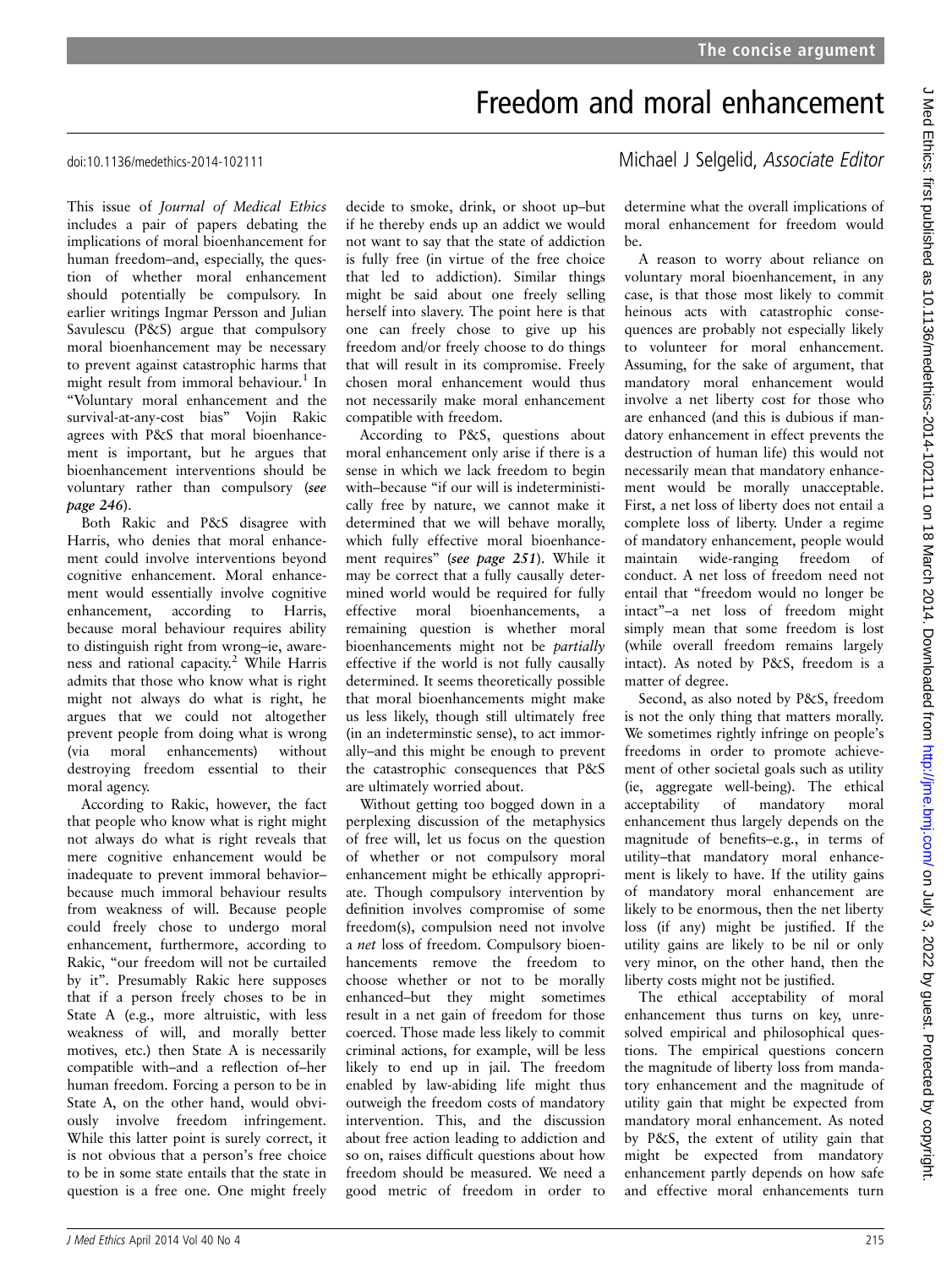## Freedom and moral enhancement

This issue of Journal of Medical Ethics includes a pair of papers debating the implications of moral bioenhancement for human freedom–and, especially, the question of whether moral enhancement should potentially be compulsory. In earlier writings Ingmar Persson and Julian Savulescu (P&S) argue that compulsory moral bioenhancement may be necessary to prevent against catastrophic harms that might result from immoral behaviour.<sup>1</sup> In "Voluntary moral enhancement and the survival-at-any-cost bias" Vojin Rakic agrees with P&S that moral bioenhancement is important, but he argues that bioenhancement interventions should be voluntary rather than compulsory (see page 246).

Both Rakic and P&S disagree with Harris, who denies that moral enhancement could involve interventions beyond cognitive enhancement. Moral enhancement would essentially involve cognitive enhancement, according to Harris, because moral behaviour requires ability to distinguish right from wrong–ie, awareness and rational capacity.<sup>2</sup> While Harris admits that those who know what is right might not always do what is right, he argues that we could not altogether prevent people from doing what is wrong (via moral enhancements) without destroying freedom essential to their moral agency.

According to Rakic, however, the fact that people who know what is right might not always do what is right reveals that mere cognitive enhancement would be inadequate to prevent immoral behavior– because much immoral behaviour results from weakness of will. Because people could freely chose to undergo moral enhancement, furthermore, according to Rakic, "our freedom will not be curtailed by it". Presumably Rakic here supposes that if a person freely choses to be in State A (e.g., more altruistic, with less weakness of will, and morally better motives, etc.) then State A is necessarily compatible with–and a reflection of–her human freedom. Forcing a person to be in State A, on the other hand, would obviously involve freedom infringement. While this latter point is surely correct, it is not obvious that a person's free choice to be in some state entails that the state in question is a free one. One might freely

decide to smoke, drink, or shoot up–but if he thereby ends up an addict we would not want to say that the state of addiction is fully free (in virtue of the free choice that led to addiction). Similar things might be said about one freely selling herself into slavery. The point here is that one can freely chose to give up his freedom and/or freely choose to do things that will result in its compromise. Freely chosen moral enhancement would thus not necessarily make moral enhancement compatible with freedom.

According to P&S, questions about moral enhancement only arise if there is a sense in which we lack freedom to begin with–because "if our will is indeterministically free by nature, we cannot make it determined that we will behave morally, which fully effective moral bioenhancement requires" (see page 251). While it may be correct that a fully causally determined world would be required for fully effective moral bioenhancements, a remaining question is whether moral bioenhancements might not be partially effective if the world is not fully causally determined. It seems theoretically possible that moral bioenhancements might make us less likely, though still ultimately free (in an indeterminstic sense), to act immorally–and this might be enough to prevent the catastrophic consequences that P&S are ultimately worried about.

Without getting too bogged down in a perplexing discussion of the metaphysics of free will, let us focus on the question of whether or not compulsory moral enhancement might be ethically appropriate. Though compulsory intervention by definition involves compromise of some freedom(s), compulsion need not involve a net loss of freedom. Compulsory bioenhancements remove the freedom to choose whether or not to be morally enhanced–but they might sometimes result in a net gain of freedom for those coerced. Those made less likely to commit criminal actions, for example, will be less likely to end up in jail. The freedom enabled by law-abiding life might thus outweigh the freedom costs of mandatory intervention. This, and the discussion about free action leading to addiction and so on, raises difficult questions about how freedom should be measured. We need a good metric of freedom in order to

## doi:10.1136/medethics-2014-102111 Michael J Selgelid, Associate Editor

determine what the overall implications of moral enhancement for freedom would  $he$ 

A reason to worry about reliance on voluntary moral bioenhancement, in any case, is that those most likely to commit heinous acts with catastrophic consequences are probably not especially likely to volunteer for moral enhancement. Assuming, for the sake of argument, that mandatory moral enhancement would involve a net liberty cost for those who are enhanced (and this is dubious if mandatory enhancement in effect prevents the destruction of human life) this would not necessarily mean that mandatory enhancement would be morally unacceptable. First, a net loss of liberty does not entail a complete loss of liberty. Under a regime of mandatory enhancement, people would maintain wide-ranging freedom of conduct. A net loss of freedom need not entail that "freedom would no longer be intact"–a net loss of freedom might simply mean that some freedom is lost (while overall freedom remains largely intact). As noted by P&S, freedom is a matter of degree.

Second, as also noted by P&S, freedom is not the only thing that matters morally. We sometimes rightly infringe on people's freedoms in order to promote achievement of other societal goals such as utility (ie, aggregate well-being). The ethical acceptability of mandatory moral enhancement thus largely depends on the magnitude of benefits–e.g., in terms of utility–that mandatory moral enhancement is likely to have. If the utility gains of mandatory moral enhancement are likely to be enormous, then the net liberty loss (if any) might be justified. If the utility gains are likely to be nil or only very minor, on the other hand, then the liberty costs might not be justified.

The ethical acceptability of moral enhancement thus turns on key, unresolved empirical and philosophical questions. The empirical questions concern the magnitude of liberty loss from mandatory enhancement and the magnitude of utility gain that might be expected from mandatory moral enhancement. As noted by P&S, the extent of utility gain that might be expected from mandatory enhancement partly depends on how safe and effective moral enhancements turn